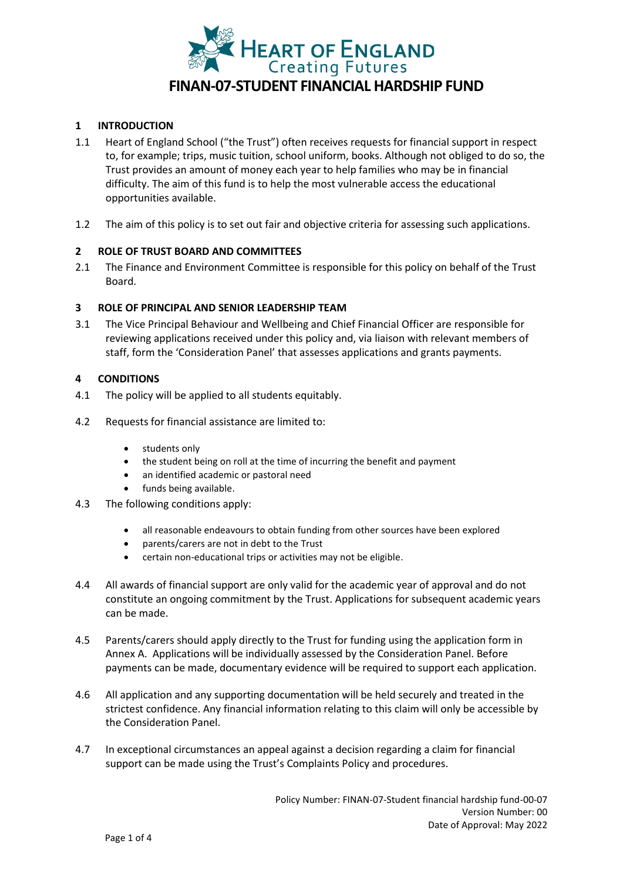

### **1 INTRODUCTION**

- 1.1 Heart of England School ("the Trust") often receives requests for financial support in respect to, for example; trips, music tuition, school uniform, books. Although not obliged to do so, the Trust provides an amount of money each year to help families who may be in financial difficulty. The aim of this fund is to help the most vulnerable access the educational opportunities available.
- 1.2 The aim of this policy is to set out fair and objective criteria for assessing such applications.

### **2 ROLE OF TRUST BOARD AND COMMITTEES**

2.1 The Finance and Environment Committee is responsible for this policy on behalf of the Trust Board.

### **3 ROLE OF PRINCIPAL AND SENIOR LEADERSHIP TEAM**

3.1 The Vice Principal Behaviour and Wellbeing and Chief Financial Officer are responsible for reviewing applications received under this policy and, via liaison with relevant members of staff, form the 'Consideration Panel' that assesses applications and grants payments.

### **4 CONDITIONS**

- 4.1 The policy will be applied to all students equitably.
- 4.2 Requests for financial assistance are limited to:
	- students only
	- the student being on roll at the time of incurring the benefit and payment
	- an identified academic or pastoral need
	- funds being available.
- 4.3 The following conditions apply:
	- all reasonable endeavours to obtain funding from other sources have been explored
	- parents/carers are not in debt to the Trust
	- certain non-educational trips or activities may not be eligible.
- 4.4 All awards of financial support are only valid for the academic year of approval and do not constitute an ongoing commitment by the Trust. Applications for subsequent academic years can be made.
- 4.5 Parents/carers should apply directly to the Trust for funding using the application form in Annex A. Applications will be individually assessed by the Consideration Panel. Before payments can be made, documentary evidence will be required to support each application.
- 4.6 All application and any supporting documentation will be held securely and treated in the strictest confidence. Any financial information relating to this claim will only be accessible by the Consideration Panel.
- 4.7 In exceptional circumstances an appeal against a decision regarding a claim for financial support can be made using the Trust's Complaints Policy and procedures.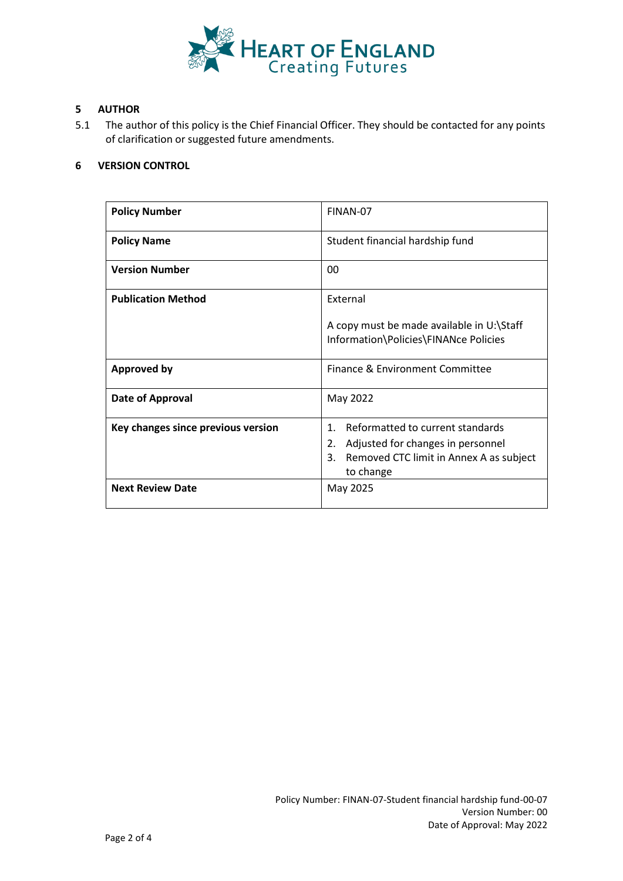

## **5 AUTHOR**

5.1 The author of this policy is the Chief Financial Officer. They should be contacted for any points of clarification or suggested future amendments.

### **6 VERSION CONTROL**

| <b>Policy Number</b>               | FINAN-07                                                                                                                                                    |  |  |
|------------------------------------|-------------------------------------------------------------------------------------------------------------------------------------------------------------|--|--|
| <b>Policy Name</b>                 | Student financial hardship fund                                                                                                                             |  |  |
| <b>Version Number</b>              | 00                                                                                                                                                          |  |  |
| <b>Publication Method</b>          | External<br>A copy must be made available in U:\Staff<br>Information\Policies\FINANce Policies                                                              |  |  |
| <b>Approved by</b>                 | Finance & Environment Committee                                                                                                                             |  |  |
| Date of Approval                   | May 2022                                                                                                                                                    |  |  |
| Key changes since previous version | Reformatted to current standards<br>$\mathbf{1}$ .<br>2.<br>Adjusted for changes in personnel<br>Removed CTC limit in Annex A as subject<br>3.<br>to change |  |  |
| <b>Next Review Date</b>            | May 2025                                                                                                                                                    |  |  |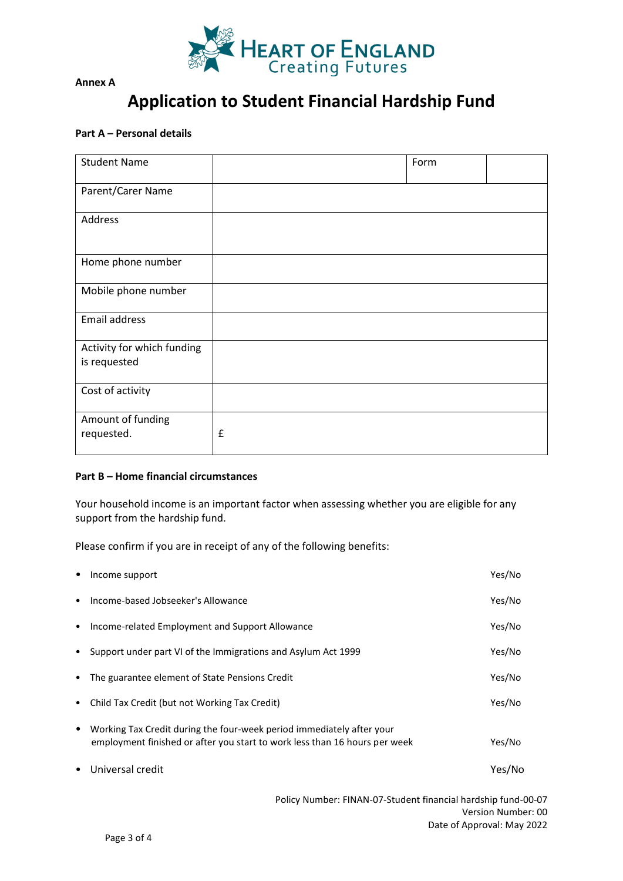

**Annex A** 

# **Application to Student Financial Hardship Fund**

# **Part A – Personal details**

| <b>Student Name</b>                        |   | Form |
|--------------------------------------------|---|------|
| Parent/Carer Name                          |   |      |
| Address                                    |   |      |
| Home phone number                          |   |      |
| Mobile phone number                        |   |      |
| Email address                              |   |      |
| Activity for which funding<br>is requested |   |      |
| Cost of activity                           |   |      |
| Amount of funding<br>requested.            | £ |      |

### **Part B – Home financial circumstances**

Your household income is an important factor when assessing whether you are eligible for any support from the hardship fund.

Please confirm if you are in receipt of any of the following benefits:

|           | Income support                                                                                                                                      | Yes/No |
|-----------|-----------------------------------------------------------------------------------------------------------------------------------------------------|--------|
| $\bullet$ | Income-based Jobseeker's Allowance                                                                                                                  | Yes/No |
| $\bullet$ | Income-related Employment and Support Allowance                                                                                                     | Yes/No |
| $\bullet$ | Support under part VI of the Immigrations and Asylum Act 1999                                                                                       | Yes/No |
| $\bullet$ | The guarantee element of State Pensions Credit                                                                                                      | Yes/No |
| $\bullet$ | Child Tax Credit (but not Working Tax Credit)                                                                                                       | Yes/No |
| $\bullet$ | Working Tax Credit during the four-week period immediately after your<br>employment finished or after you start to work less than 16 hours per week | Yes/No |
|           | Universal credit                                                                                                                                    | Yes/No |

Policy Number: FINAN-07-Student financial hardship fund-00-07 Version Number: 00 Date of Approval: May 2022